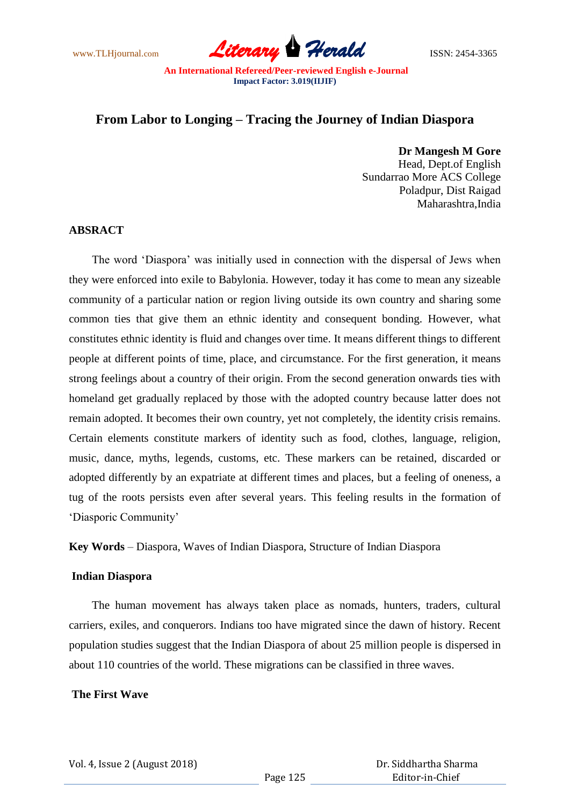www.TLHjournal.com **Literary Herald Herald** ISSN: 2454-3365

# **From Labor to Longing – Tracing the Journey of Indian Diaspora**

**Dr Mangesh M Gore** Head, Dept.of English Sundarrao More ACS College Poladpur, Dist Raigad Maharashtra,India

## **ABSRACT**

The word 'Diaspora' was initially used in connection with the dispersal of Jews when they were enforced into exile to Babylonia. However, today it has come to mean any sizeable community of a particular nation or region living outside its own country and sharing some common ties that give them an ethnic identity and consequent bonding. However, what constitutes ethnic identity is fluid and changes over time. It means different things to different people at different points of time, place, and circumstance. For the first generation, it means strong feelings about a country of their origin. From the second generation onwards ties with homeland get gradually replaced by those with the adopted country because latter does not remain adopted. It becomes their own country, yet not completely, the identity crisis remains. Certain elements constitute markers of identity such as food, clothes, language, religion, music, dance, myths, legends, customs, etc. These markers can be retained, discarded or adopted differently by an expatriate at different times and places, but a feeling of oneness, a tug of the roots persists even after several years. This feeling results in the formation of ‗Diasporic Community'

**Key Words** – Diaspora, Waves of Indian Diaspora, Structure of Indian Diaspora

#### **Indian Diaspora**

 The human movement has always taken place as nomads, hunters, traders, cultural carriers, exiles, and conquerors. Indians too have migrated since the dawn of history. Recent population studies suggest that the Indian Diaspora of about 25 million people is dispersed in about 110 countries of the world. These migrations can be classified in three waves.

#### **The First Wave**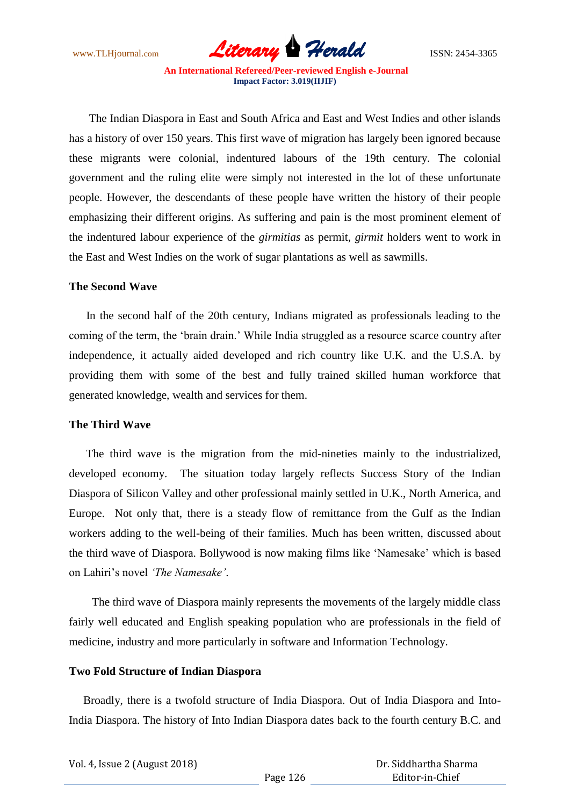www.TLHjournal.com *Literary Herald*ISSN: 2454-3365

The Indian Diaspora in East and South Africa and East and West Indies and other islands has a history of over 150 years. This first wave of migration has largely been ignored because these migrants were colonial, indentured labours of the 19th century. The colonial government and the ruling elite were simply not interested in the lot of these unfortunate people. However, the descendants of these people have written the history of their people emphasizing their different origins. As suffering and pain is the most prominent element of the indentured labour experience of the *girmitias* as permit, *girmit* holders went to work in the East and West Indies on the work of sugar plantations as well as sawmills.

#### **The Second Wave**

 In the second half of the 20th century, Indians migrated as professionals leading to the coming of the term, the 'brain drain.' While India struggled as a resource scarce country after independence, it actually aided developed and rich country like U.K. and the U.S.A. by providing them with some of the best and fully trained skilled human workforce that generated knowledge, wealth and services for them.

### **The Third Wave**

 The third wave is the migration from the mid-nineties mainly to the industrialized, developed economy. The situation today largely reflects Success Story of the Indian Diaspora of Silicon Valley and other professional mainly settled in U.K., North America, and Europe. Not only that, there is a steady flow of remittance from the Gulf as the Indian workers adding to the well-being of their families. Much has been written, discussed about the third wave of Diaspora. Bollywood is now making films like 'Namesake' which is based on Lahiri's novel *"The Namesake"*.

 The third wave of Diaspora mainly represents the movements of the largely middle class fairly well educated and English speaking population who are professionals in the field of medicine, industry and more particularly in software and Information Technology.

#### **Two Fold Structure of Indian Diaspora**

 Broadly, there is a twofold structure of India Diaspora. Out of India Diaspora and Into-India Diaspora. The history of Into Indian Diaspora dates back to the fourth century B.C. and

| Vol. 4, Issue 2 (August 2018) |          | Dr. Siddhartha Sharma |
|-------------------------------|----------|-----------------------|
|                               | Page 126 | Editor-in-Chief       |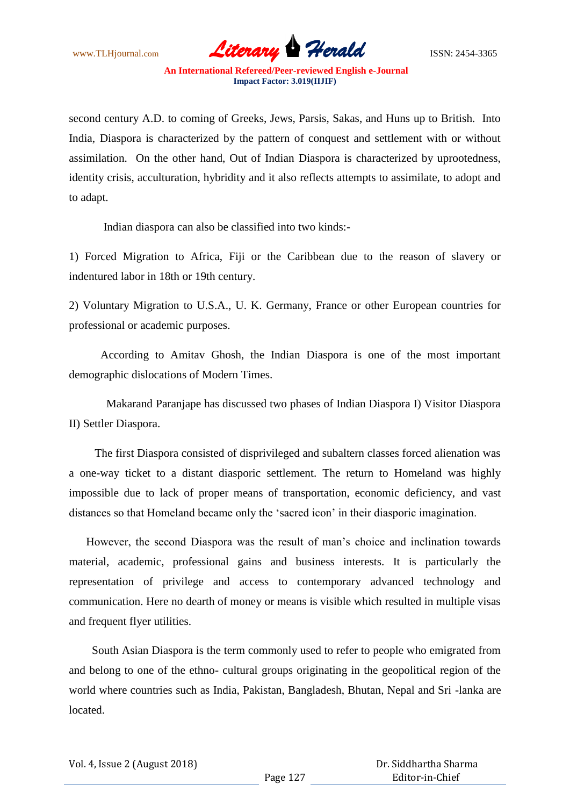www.TLHjournal.com **Literary Herald Herald** ISSN: 2454-3365

second century A.D. to coming of Greeks, Jews, Parsis, Sakas, and Huns up to British. Into India, Diaspora is characterized by the pattern of conquest and settlement with or without assimilation. On the other hand, Out of Indian Diaspora is characterized by uprootedness, identity crisis, acculturation, hybridity and it also reflects attempts to assimilate, to adopt and to adapt.

Indian diaspora can also be classified into two kinds:-

1) Forced Migration to Africa, Fiji or the Caribbean due to the reason of slavery or indentured labor in 18th or 19th century.

2) Voluntary Migration to U.S.A., U. K. Germany, France or other European countries for professional or academic purposes.

 According to Amitav Ghosh, the Indian Diaspora is one of the most important demographic dislocations of Modern Times.

 Makarand Paranjape has discussed two phases of Indian Diaspora I) Visitor Diaspora II) Settler Diaspora.

 The first Diaspora consisted of disprivileged and subaltern classes forced alienation was a one-way ticket to a distant diasporic settlement. The return to Homeland was highly impossible due to lack of proper means of transportation, economic deficiency, and vast distances so that Homeland became only the 'sacred icon' in their diasporic imagination.

 However, the second Diaspora was the result of man's choice and inclination towards material, academic, professional gains and business interests. It is particularly the representation of privilege and access to contemporary advanced technology and communication. Here no dearth of money or means is visible which resulted in multiple visas and frequent flyer utilities.

 South Asian Diaspora is the term commonly used to refer to people who emigrated from and belong to one of the ethno- cultural groups originating in the geopolitical region of the world where countries such as India, Pakistan, Bangladesh, Bhutan, Nepal and Sri -lanka are located.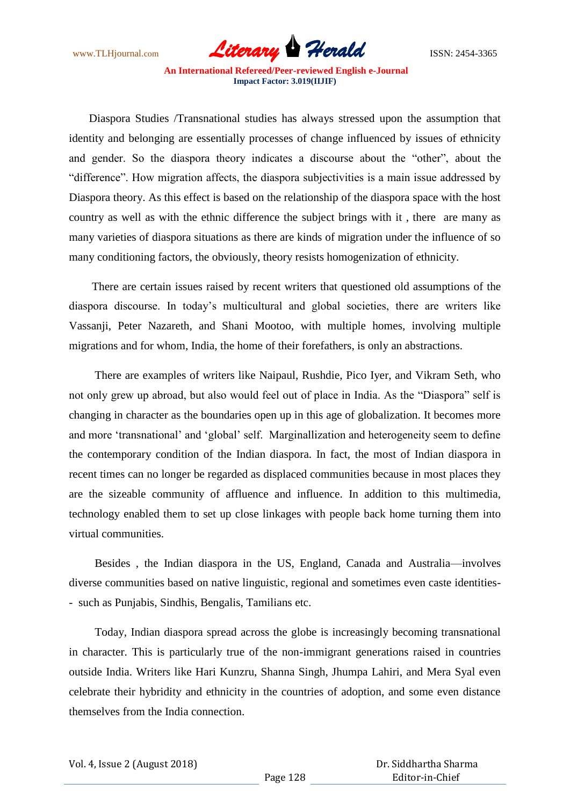www.TLHjournal.com **Literary Herald Herald** ISSN: 2454-3365

 Diaspora Studies /Transnational studies has always stressed upon the assumption that identity and belonging are essentially processes of change influenced by issues of ethnicity and gender. So the diaspora theory indicates a discourse about the "other", about the "difference". How migration affects, the diaspora subjectivities is a main issue addressed by Diaspora theory. As this effect is based on the relationship of the diaspora space with the host country as well as with the ethnic difference the subject brings with it , there are many as many varieties of diaspora situations as there are kinds of migration under the influence of so many conditioning factors, the obviously, theory resists homogenization of ethnicity.

 There are certain issues raised by recent writers that questioned old assumptions of the diaspora discourse. In today's multicultural and global societies, there are writers like Vassanji, Peter Nazareth, and Shani Mootoo, with multiple homes, involving multiple migrations and for whom, India, the home of their forefathers, is only an abstractions.

 There are examples of writers like Naipaul, Rushdie, Pico Iyer, and Vikram Seth, who not only grew up abroad, but also would feel out of place in India. As the "Diaspora" self is changing in character as the boundaries open up in this age of globalization. It becomes more and more 'transnational' and 'global' self. Marginallization and heterogeneity seem to define the contemporary condition of the Indian diaspora. In fact, the most of Indian diaspora in recent times can no longer be regarded as displaced communities because in most places they are the sizeable community of affluence and influence. In addition to this multimedia, technology enabled them to set up close linkages with people back home turning them into virtual communities.

 Besides , the Indian diaspora in the US, England, Canada and Australia—involves diverse communities based on native linguistic, regional and sometimes even caste identities- - such as Punjabis, Sindhis, Bengalis, Tamilians etc.

 Today, Indian diaspora spread across the globe is increasingly becoming transnational in character. This is particularly true of the non-immigrant generations raised in countries outside India. Writers like Hari Kunzru, Shanna Singh, Jhumpa Lahiri, and Mera Syal even celebrate their hybridity and ethnicity in the countries of adoption, and some even distance themselves from the India connection.